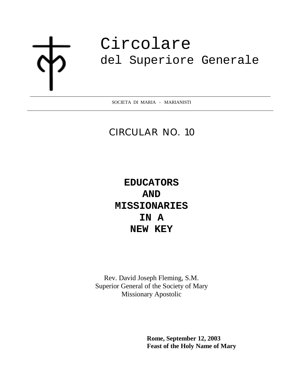j

# Circolare del Superiore Generale

SOCIETA DI MARIA - MARIANISTI

## CIRCULAR NO. 10

**EDUCATORS AND MISSIONARIES IN A NEW KEY** 

Rev. David Joseph Fleming, S.M. Superior General of the Society of Mary Missionary Apostolic

> **Rome, September 12, 2003 Feast of the Holy Name of Mary**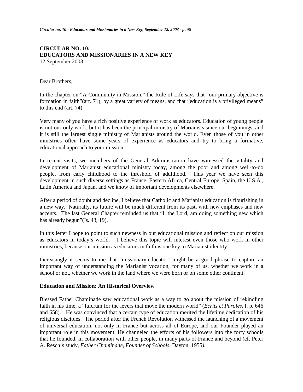#### **CIRCULAR NO. 10: EDUCATORS AND MISSIONARIES IN A NEW KEY** 12 September 2003

#### Dear Brothers,

In the chapter on "A Community in Mission," the Rule of Life says that "our primary objective is formation in faith"(art. 71), by a great variety of means, and that "education is a privileged means" to this end (art. 74).

Very many of you have a rich positive experience of work as educators. Education of young people is not our only work, but it has been the principal ministry of Marianists since our beginnings, and it is still the largest single ministry of Marianists around the world. Even those of you in other ministries often have some years of experience as educators and try to bring a formative, educational approach to your mission.

In recent visits, we members of the General Administration have witnessed the vitality and development of Marianist educational ministry today, among the poor and among well-to-do people, from early childhood to the threshold of adulthood. This year we have seen this development in such diverse settings as France, Eastern Africa, Central Europe, Spain, the U.S.A., Latin America and Japan, and we know of important developments elsewhere.

After a period of doubt and decline, I believe that Catholic and Marianist education is flourishing in a new way. Naturally, its future will be much different from its past, with new emphases and new accents. The last General Chapter reminded us that "I, the Lord, am doing something new which has already begun"(Is. 43, 19).

In this letter I hope to point to such newness in our educational mission and reflect on our mission as educators in today's world. I believe this topic will interest even those who work in other ministries, because our mission as educators in faith is one key to Marianist identity.

Increasingly it seems to me that "missionary-educator" might be a good phrase to capture an important way of understanding the Marianist vocation, for many of us, whether we work in a school or not, whether we work in the land where we were born or on some other continent.

#### **Education and Mission: An Historical Overview**

Blessed Father Chaminade saw educational work as a way to go about the mission of rekindling faith in his time, a "fulcrum for the levers that move the modern world" (*Ecrits et Paroles,* I, p. 646 and 658). He was convinced that a certain type of education merited the lifetime dedication of his religious disciples. The period after the French Revolution witnessed the launching of a movement of universal education, not only in France but across all of Europe, and our Founder played an important role in this movement. He channeled the efforts of his followers into the forty schools that he founded, in collaboration with other people, in many parts of France and beyond (cf. Peter A. Resch's study, *Father Chaminade, Founder of Schools,* Dayton, 1955*)*.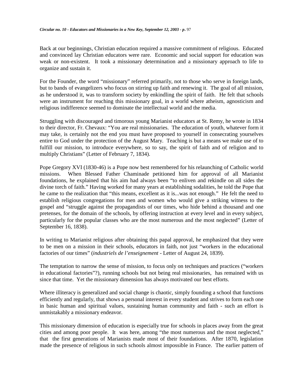Back at our beginnings, Christian education required a massive commitment of religious. Educated and convinced lay Christian educators were rare. Economic and social support for education was weak or non-existent. It took a missionary determination and a missionary approach to life to organize and sustain it.

For the Founder, the word "missionary" referred primarily, not to those who serve in foreign lands, but to bands of evangelizers who focus on stirring up faith and renewing it. The goal of all mission, as he understood it, was to transform society by enkindling the spirit of faith. He felt that schools were an instrument for reaching this missionary goal, in a world where atheism, agnosticism and religious indifference seemed to dominate the intellectual world and the media.

Struggling with discouraged and timorous young Marianist educators at St. Remy, he wrote in 1834 to their director, Fr. Chevaux: "You are real missionaries. The education of youth, whatever form it may take, is certainly not the end you must have proposed to yourself in consecrating yourselves entire to God under the protection of the August Mary. Teaching is but a means we make use of to fulfill our mission, to introduce everywhere, so to say, the spirit of faith and of religion and to multiply Christians" (Letter of February 7, 1834).

Pope Gregory XVI (1830-46) is a Pope now best remembered for his relaunching of Catholic world missions. When Blessed Father Chaminade petitioned him for approval of all Marianist foundations, he explained that his aim had always been "to enliven and rekindle on all sides the divine torch of faith." Having worked for many years at establishing sodalities, he told the Pope that he came to the realization that "this means, excellent as it is...was not enough." He felt the need to establish religious congregations for men and women who would give a striking witness to the gospel and "struggle against the propagandists of our times, who hide behind a thousand and one pretenses, for the domain of the schools, by offering instruction at every level and in every subject, particularly for the popular classes who are the most numerous and the most neglected" (Letter of September 16, 1838).

In writing to Marianist religious after obtaining this papal approval, he emphasized that they were to be men on a mission in their schools, educators in faith, not just "workers in the educational factories of our times" (*industriels de l'enseignement -* Letter of August 24, 1839).

The temptation to narrow the sense of mission, to focus only on techniques and practices ("workers in educational factories"?), running schools but not being real missionaries, has remained with us since that time. Yet the missionary dimension has always motivated our best efforts.

Where illiteracy is generalized and social change is chaotic, simply founding a school that functions efficiently and regularly, that shows a personal interest in every student and strives to form each one in basic human and spiritual values, sustaining human community and faith - such an effort is unmistakably a missionary endeavor.

This missionary dimension of education is especially true for schools in places away from the great cities and among poor people. It was here, among "the most numerous and the most neglected," that the first generations of Marianists made most of their foundations. After 1870, legislation made the presence of religious in such schools almost impossible in France. The earlier pattern of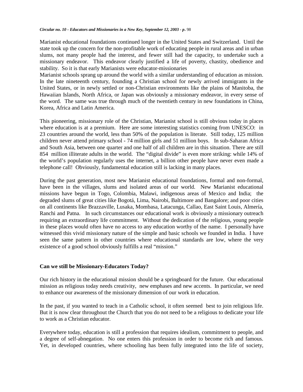Marianist educational foundations continued longer in the United States and Switzerland. Until the state took up the concern for the non-profitable work of educating people in rural areas and in urban slums, not many people had the interest, and fewer still had the capacity, to undertake such a missionary endeavor. This endeavor clearly justified a life of poverty, chastity, obedience and stability. So it is that early Marianists were educator-missionaries

Marianist schools sprang up around the world with a similar understanding of education as mission. In the late nineteenth century, founding a Christian school for newly arrived immigrants in the United States, or in newly settled or non-Christian environments like the plains of Manitoba, the Hawaiian Islands, North Africa, or Japan was obviously a missionary endeavor, in every sense of the word. The same was true through much of the twentieth century in new foundations in China, Korea, Africa and Latin America.

This pioneering, missionary role of the Christian, Marianist school is still obvious today in places where education is at a premium. Here are some interesting statistics coming from UNESCO: in 23 countries around the world, less than 50% of the population is literate. Still today, 125 million children never attend primary school - 74 million girls and 51 million boys. In sub-Saharan Africa and South Asia, between one quarter and one half of all children are in this situation. There are still 854 million illiterate adults in the world. The "digital divide" is even more striking: while 14% of the world's population regularly uses the internet, a billion other people have never even made a telephone call! Obviously, fundamental education still is lacking in many places.

During the past generation, most new Marianist educational foundations, formal and non-formal, have been in the villages, slums and isolated areas of our world. New Marianist educational missions have begun in Togo, Colombia, Malawi, indigenous areas of Mexico and India; the degraded slums of great cities like Bogotá, Lima, Nairobi, Baltimore and Bangalore; and poor cities on all continents like Brazzaville, Lusaka, Mombasa, Latacunga, Callao, East Saint Louis, Almería, Ranchi and Patna. In such circumstances our educational work is obviously a missionary outreach requiring an extraordinary life commitment. Without the dedication of the religious, young people in these places would often have no access to any education worthy of the name. I personally have witnessed this vivid missionary nature of the simple and basic schools we founded in India. I have seen the same pattern in other countries where educational standards are low, where the very existence of a good school obviously fulfills a real "mission."

#### **Can we still be Missionary-Educators Today?**

Our rich history in the educational mission should be a springboard for the future. Our educational mission as religious today needs creativity, new emphases and new accents. In particular, we need to enhance our awareness of the missionary dimension of our work in education.

In the past, if you wanted to teach in a Catholic school, it often seemed best to join religious life. But it is now clear throughout the Church that you do not need to be a religious to dedicate your life to work as a Christian educator.

Everywhere today, education is still a profession that requires idealism, commitment to people, and a degree of self-abnegation. No one enters this profession in order to become rich and famous. Yet, in developed countries, where schooling has been fully integrated into the life of society,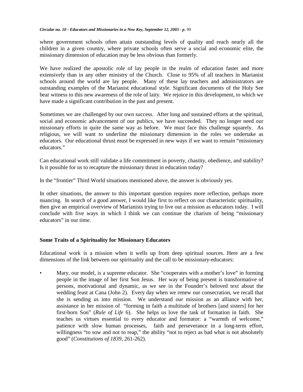where government schools often attain outstanding levels of quality and reach nearly all the children in a given country, where private schools often serve a social and economic elite, the missionary dimension of education may be less obvious than formerly.

We have realized the apostolic role of lay people in the realm of education faster and more extensively than in any other ministry of the Church. Close to 95% of all teachers in Marianist schools around the world are lay people. Many of these lay teachers and administrators are outstanding examples of the Marianist educational style. Significant documents of the Holy See bear witness to this new awareness of the role of laity. We rejoice in this development, to which we have made a significant contribution in the past and present.

Sometimes we are challenged by our own success. After long and sustained efforts at the spiritual, social and economic advancement of our publics, we have succeeded. They no longer need our missionary efforts in quite the same way as before. We must face this challenge squarely. As religious, we will want to underline the missionary dimension in the roles we undertake as educators. Our educational thrust must be expressed in new ways if we want to remain "missionary educators."

Can educational work still validate a life commitment in poverty, chastity, obedience, and stability? Is it possible for us to recapture the missionary thrust in education today?

In the "frontier" Third World situations mentioned above, the answer is obviously yes.

In other situations, the answer to this important question requires more reflection, perhaps more nuancing. In search of a good answer, I would like first to reflect on our characteristic spirituality, then give an empirical overview of Marianists trying to live out a mission as educators today. I will conclude with five ways in which I think we can continue the charism of being "missionary educators" in our time.

#### **Some Traits of a Spirituality for Missionary Educators**

Educational work is a mission when it wells up from deep spiritual sources. Here are a few dimensions of the link between our spirituality and the call to be missionary-educators:

• Mary, our model, is a supreme educator. She "cooperates with a mother's love" in forming people in the image of her first Son Jesus. Her way of being present is transformative of persons, motivational and dynamic, as we see in the Founder's beloved text about the wedding feast at Cana (John 2). Every day when we renew our consecration, we recall that she is sending us into mission. We understand our mission as an alliance with her, assistance in her mission of "forming in faith a multitude of brothers [and sisters] for her first-born Son" (*Rule of Life* 6). She helps us love the task of formation in faith. She teaches us virtues essential to every educator and formator: a "warmth of welcome," patience with slow human processes, faith and perseverance in a long-term effort, willingness "to sow and not to reap," the ability "not to reject as bad what is not absolutely good" (*Constitutions of 1839*, 261-262).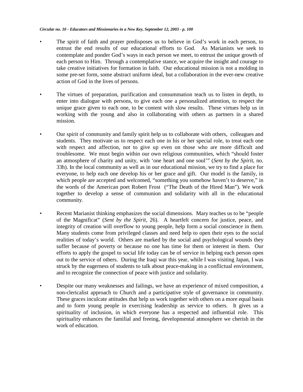- The spirit of faith and prayer predisposes us to believe in God's work in each person, to entrust the end results of our educational efforts to God. As Marianists we seek to contemplate and ponder God's ways in each person we meet, to entrust the unique growth of each person to Him. Through a contemplative stance, we acquire the insight and courage to take creative initiatives for formation in faith. Our educational mission is not a molding in some pre-set form, some abstract uniform ideal, but a collaboration in the ever-new creative action of God in the lives of persons.
- The virtues of preparation, purification and consummation teach us to listen in depth, to enter into dialogue with persons, to give each one a personalized attention, to respect the unique grace given to each one, to be content with slow results. These virtues help us in working with the young and also in collaborating with others as partners in a shared mission.
- Our spirit of community and family spirit help us to collaborate with others, colleagues and students. They motivate us to respect each one in his or her special role, to treat each one with respect and affection, not to give up even on those who are more difficult and troublesome. We must begin within our own religious communities, which "should foster an atmosphere of charity and unity, with 'one heart and one soul'" (*Sent by the Spirit*, no. 33h). In the local community as well as in our educational mission, we try to find a place for everyone, to help each one develop his or her grace and gift. Our model is the family, in which people are accepted and welcomed, "something you somehow haven't to deserve," in the words of the American poet Robert Frost ("The Death of the Hired Man"). We work together to develop a sense of communion and solidarity with all in the educational community.
- Recent Marianist thinking emphasizes the social dimensions. Mary teaches us to be "people of the Magnificat" (*Sent by the Spirit*, 26). A heartfelt concern for justice, peace, and integrity of creation will overflow to young people, help form a social conscience in them. Many students come from privileged classes and need help to open their eyes to the social realities of today's world. Others are marked by the social and psychological wounds they suffer because of poverty or because no one has time for them or interest in them. Our efforts to apply the gospel to social life today can be of service in helping each person open out to the service of others. During the Iraqi war this year, while I was visiting Japan, I was struck by the eagerness of students to talk about peace-making in a conflictual environment, and to recognize the connection of peace with justice and solidarity.
- Despite our many weaknesses and failings, we have an experience of mixed composition, a non-clericalist approach to Church and a participative style of governance in community. These graces inculcate attitudes that help us work together with others on a more equal basis and to form young people in exercising leadership as service to others. It gives us a spirituality of inclusion, in which everyone has a respected and influential role. This spirituality enhances the familial and freeing, developmental atmosphere we cherish in the work of education.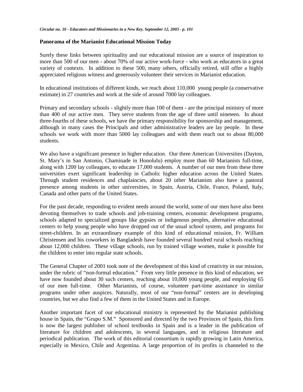#### **Panorama of the Marianist Educational Mission Today**

Surely these links between spirituality and our educational mission are a source of inspiration to more than 500 of our men - about 70% of our active work-force - who work as educators in a great variety of contexts. In addition to these 500, many others, officially retired, still offer a highly appreciated religious witness and generously volunteer their services in Marianist education.

In educational institutions of different kinds, we reach about 110,000 young people (a conservative estimate) in 27 countries and work at the side of around 7000 lay colleagues.

Primary and secondary schools - slightly more than 100 of them - are the principal ministry of more than 400 of our active men. They serve students from the age of three until nineteen. In about three-fourths of these schools, we have the primary responsibility for sponsorship and management, although in many cases the Principals and other administrative leaders are lay people. In these schools we work with more than 5000 lay colleagues and with them reach out to about 80,000 students.

We also have a significant presence in higher education. Our three American Universities (Dayton, St. Mary's in San Antonio, Chaminade in Honolulu) employ more than 60 Marianists full-time, along with 1200 lay colleagues, to educate 17,000 students. A number of our men from these three universities exert significant leadership in Catholic higher education across the United States. Through student residences and chaplaincies, about 20 other Marianists also have a pastoral presence among students in other universities, in Spain, Austria, Chile, France, Poland, Italy, Canada and other parts of the United States.

For the past decade, responding to evident needs around the world, some of our men have also been devoting themselves to trade schools and job-training centers, economic development programs, schools adapted to specialized groups like gypsies or indigenous peoples, alternative educational centers to help young people who have dropped out of the usual school system, and programs for street-children. In an extraordinary example of this kind of educational mission, Fr. William Christensen and his coworkers in Bangladesh have founded several hundred rural schools reaching about 12,000 children. These village schools, run by trained village women, make it possible for the children to enter into regular state schools.

The General Chapter of 2001 took note of the development of this kind of creativity in our mission, under the rubric of "non-formal education." From very little presence in this kind of education, we have now founded about 30 such centers, reaching about 10,000 young people, and employing 65 of our men full-time. Other Marianists, of course, volunteer part-time assistance in similar programs under other auspices. Naturally, most of our "non-formal" centers are in developing countries, but we also find a few of them in the United States and in Europe.

Another important facet of our educational ministry is represented by the Marianist publishing house in Spain, the "Grupo S.M." Sponsored and directed by the two Provinces of Spain, this firm is now the largest publisher of school textbooks in Spain and is a leader in the publication of literature for children and adolescents, in several languages, and in religious literature and periodical publication. The work of this editorial consortium is rapidly growing in Latin America, especially in Mexico, Chile and Argentina. A large proportion of its profits is channeled to the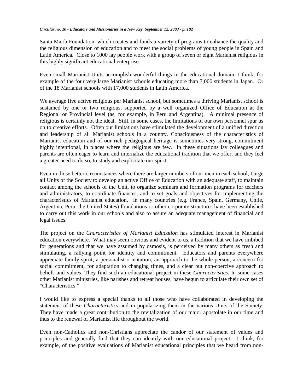Santa María Foundation, which creates and funds a variety of programs to enhance the quality and the religious dimension of education and to meet the social problems of young people in Spain and Latin America. Close to 1000 lay people work with a group of seven or eight Marianist religious in this highly significant educational enterprise.

Even small Marianist Units accomplish wonderful things in the educational domain: I think, for example of the four very large Marianist schools educating more than 7,000 students in Japan. Or of the 18 Marianist schools with 17,000 students in Latin America.

We average five active religious per Marianist school, but sometimes a thriving Marianist school is sustained by one or two religious, supported by a well organized Office of Education at the Regional or Provincial level (as, for example, in Peru and Argentina). A minimal presence of religious is certainly not the ideal. Still, in some cases, the limitations of our own personnel spur us on to creative efforts. Often our limitations have stimulated the development of a unified direction and leadership of all Marianist schools in a country. Consciousness of the characteristics of Marianist education and of our rich pedagogical heritage is sometimes very strong, commitment highly intentional, in places where the religious are few. In these situations lay colleagues and parents are often eager to learn and internalize the educational tradition that we offer, and they feel a greater need to do so, to study and explicitate our spirit.

Even in those better circumstances where there are larger numbers of our men in each school, I urge all Units of the Society to develop an active Office of Education with an adequate staff, to maintain contact among the schools of the Unit, to organize seminars and formation programs for teachers and administrators, to coordinate finances, and to set goals and objectives for implementing the characteristics of Marianist education. In many countries (e.g. France, Spain, Germany, Chile, Argentina, Peru, the United States) foundations or other corporate structures have been established to carry out this work in our schools and also to assure an adequate management of financial and legal issues.

The project on the *Characteristics of Marianist Education* has stimulated interest in Marianist education everywhere. What may seem obvious and evident to us, a tradition that we have imbibed for generations and that we have assumed by osmosis, is perceived by many others as fresh and stimulating, a rallying point for identity and commitment. Educators and parents everywhere appreciate family spirit, a personalist orientation, an approach to the whole person, a concern for social commitment, for adaptation to changing times, and a clear but non-coercive approach to beliefs and values. They find such an educational project in these *Characteristics.* In some cases other Marianist ministries, like parishes and retreat houses, have begun to articulate their own set of "Characteristics."

I would like to express a special thanks to all those who have collaborated in developing the statement of these *Characteristics* and in popularizing them in the various Units of the Society. They have made a great contribution to the revitalization of our major apostolate in our time and thus to the renewal of Marianist life throughout the world.

Even non-Catholics and non-Christians appreciate the candor of our statement of values and principles and generally find that they can identify with our educational project. I think, for example, of the positive evaluations of Marianist educational principles that we heard from non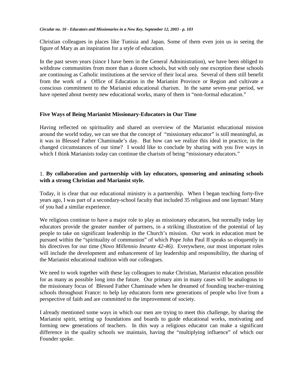Christian colleagues in places like Tunisia and Japan. Some of them even join us in seeing the figure of Mary as an inspiration for a style of education.

In the past seven years (since I have been in the General Administration), we have been obliged to withdraw communities from more than a dozen schools, but with only one exception these schools are continuing as Catholic institutions at the service of their local area. Several of them still benefit from the work of a Office of Education in the Marianist Province or Region and cultivate a conscious commitment to the Marianist educational charism. In the same seven-year period, we have opened about twenty new educational works, many of them in "non-formal education."

#### **Five Ways of Being Marianist Missionary-Educators in Our Time**

Having reflected on spirituality and shared an overview of the Marianist educational mission around the world today, we can see that the concept of "missionary educator" is still meaningful, as it was in Blessed Father Chaminade's day. But how can we realize this ideal in practice, in the changed circumstances of our time? I would like to conclude by sharing with you five ways in which I think Marianists today can continue the charism of being "missionary educators."

#### 1. **By collaboration and partnership with lay educators, sponsoring and animating schools with a strong Christian and Marianist style.**

Today, it is clear that our educational ministry is a partnership. When I began teaching forty-five years ago, I was part of a secondary-school faculty that included 35 religious and one layman! Many of you had a similar experience.

We religious continue to have a major role to play as missionary educators, but normally today lay educators provide the greater number of partners, in a striking illustration of the potential of lay people to take on significant leadership in the Church's mission. Our work in education must be pursued within the "spirituality of communion" of which Pope John Paul II speaks so eloquently in his directives for our time (*Novo Millennio Ineunte 42-46).* Everywhere, our most important roles will include the development and enhancement of lay leadership and responsibility, the sharing of the Marianist educational tradition with our colleagues.

We need to work together with these lay colleagues to make Christian, Marianist education possible for as many as possible long into the future. Our primary aim in many cases will be analogous to the missionary focus of Blessed Father Chaminade when he dreamed of founding teacher-training schools throughout France: to help lay educators form new generations of people who live from a perspective of faith and are committed to the improvement of society.

I already mentioned some ways in which our men are trying to meet this challenge, by sharing the Marianist spirit, setting up foundations and boards to guide educational works, motivating and forming new generations of teachers. In this way a religious educator can make a significant difference in the quality schools we maintain, having the "multiplying influence" of which our Founder spoke.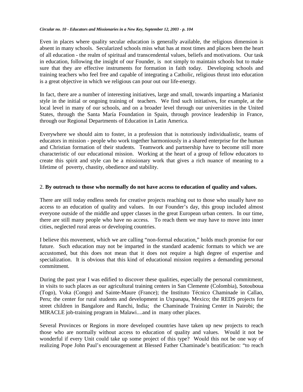Even in places where quality secular education is generally available, the religious dimension is absent in many schools. Secularized schools miss what has at most times and places been the heart of all education - the realm of spiritual and transcendental values, beliefs and motivations. Our task in education, following the insight of our Founder, is not simply to maintain schools but to make sure that they are effective instruments for formation in faith today. Developing schools and training teachers who feel free and capable of integrating a Catholic, religious thrust into education is a great objective in which we religious can pour out our life-energy.

In fact, there are a number of interesting initiatives, large and small, towards imparting a Marianist style in the initial or ongoing training of teachers. We find such initiatives, for example, at the local level in many of our schools, and on a broader level through our universities in the United States, through the Santa María Foundation in Spain, through province leadership in France, through our Regional Departments of Education in Latin America.

Everywhere we should aim to foster, in a profession that is notoriously individualistic, teams of educators in mission - people who work together harmoniously in a shared enterprise for the human and Christian formation of their students. Teamwork and partnership have to become still more characteristic of our educational mission. Working at the heart of a group of fellow educators to create this spirit and style can be a missionary work that gives a rich nuance of meaning to a lifetime of poverty, chastity, obedience and stability.

#### 2. **By outreach to those who normally do not have access to education of quality and values.**

There are still today endless needs for creative projects reaching out to those who usually have no access to an education of quality and values. In our Founder's day, this group included almost everyone outside of the middle and upper classes in the great European urban centers. In our time, there are still many people who have no access. To reach them we may have to move into inner cities, neglected rural areas or developing countries.

I believe this movement, which we are calling "non-formal education," holds much promise for our future. Such education may not be imparted in the standard academic formats to which we are accustomed, but this does not mean that it does not require a high degree of expertise and specialization. It is obvious that this kind of educational mission requires a demanding personal commitment.

During the past year I was edified to discover these qualities, especially the personal commitment, in visits to such places as our agricultural training centers in San Clemente (Colombia), Sotouboua (Togo), Voka (Congo) and Sainte-Maure (France); the Instituto Técnico Chaminade in Callao, Peru; the center for rural students and development in Uxpanapa, Mexico; the REDS projects for street children in Bangalore and Ranchi, India; the Chaminade Training Center in Nairobi; the MIRACLE job-training program in Malawi....and in many other places.

Several Provinces or Regions in more developed countries have taken up new projects to reach those who are normally without access to education of quality and values. Would it not be wonderful if every Unit could take up some project of this type? Would this not be one way of realizing Pope John Paul's encouragement at Blessed Father Chaminade's beatification: "to reach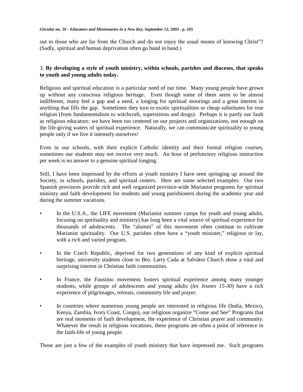out to those who are far from the Church and do not enjoy the usual means of knowing Christ"? (Sadly, spiritual and human deprivation often go hand in hand.)

### 3. **By developing a style of youth ministry, within schools, parishes and dioceses, that speaks to youth and young adults today.**

Religious and spiritual education is a particular need of our time. Many young people have grown up without any conscious religious heritage. Even though some of them seem to be almost indifferent, many feel a gap and a need, a longing for spiritual moorings and a great interest in anything that fills the gap. Sometimes they turn to exotic spiritualities or cheap substitutes for true religion (from fundamentalism to witchcraft, superstition and drugs). Perhaps it is partly our fault as religious educators: we have been too centered on our projects and organizations, not enough on the life-giving waters of spiritual experience. Naturally, we can communicate spirituality to young people only if we live it intensely ourselves!

Even in our schools, with their explicit Catholic identity and their formal religion courses, sometimes our students may not receive very much. An hour of perfunctory religious instruction per week is no answer to a genuine spiritual longing.

Still, I have been impressed by the efforts at youth ministry I have seen springing up around the Society, in schools, parishes, and spiritual centers. Here are some selected examples: Our two Spanish provinces provide rich and well organized province-wide Marianist programs for spiritual ministry and faith development for students and young parishioners during the academic year and during the summer vacations.

- In the U.S.A., the LIFE movement (Marianist summer camps for youth and young adults, focusing on spirituality and ministry) has long been a vital source of spiritual experience for thousands of adolescents. The "alumni" of this movement often continue to cultivate Marianist spirituality. Our U.S. parishes often have a "youth minister," religious or lay, with a rich and varied program.
- In the Czech Republic, deprived for two generations of any kind of explicit spiritual heritage, university students close to Bro. Larry Cada at Salvátor Church show a vital and surprising interest in Christian faith communities.
- In France, the Faustino movement fosters spiritual experience among many younger students, while groups of adolescents and young adults (*les Jeunes 15-30*) have a rich experience of pilgrimages, retreats, community life and prayer.
- In countries where numerous young people are interested in religious life (India, Mexico, Kenya, Zambia, Ivory Coast, Congo), our religious organize "Come and See" Programs that are real moments of faith development, the experience of Christian prayer and community. Whatever the result in religious vocations, these programs are often a point of reference in the faith-life of young people.

These are just a few of the examples of youth ministry that have impressed me. Such programs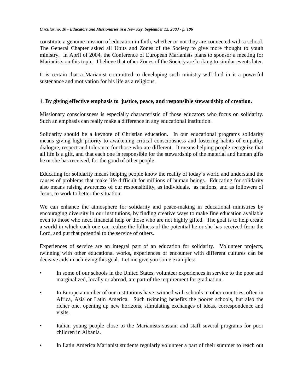constitute a genuine mission of education in faith, whether or not they are connected with a school. The General Chapter asked all Units and Zones of the Society to give more thought to youth ministry. In April of 2004, the Conference of European Marianists plans to sponsor a meeting for Marianists on this topic. I believe that other Zones of the Society are looking to similar events later.

It is certain that a Marianist committed to developing such ministry will find in it a powerful sustenance and motivation for his life as a religious.

#### 4. **By giving effective emphasis to justice, peace, and responsible stewardship of creation.**

Missionary consciousness is especially characteristic of those educators who focus on solidarity. Such an emphasis can really make a difference in any educational institution.

Solidarity should be a keynote of Christian education. In our educational programs solidarity means giving high priority to awakening critical consciousness and fostering habits of empathy, dialogue, respect and tolerance for those who are different. It means helping people recognize that all life is a gift, and that each one is responsible for the stewardship of the material and human gifts he or she has received, for the good of other people.

Educating for solidarity means helping people know the reality of today's world and understand the causes of problems that make life difficult for millions of human beings. Educating for solidarity also means raising awareness of our responsibility, as individuals, as nations, and as followers of Jesus, to work to better the situation.

We can enhance the atmosphere for solidarity and peace-making in educational ministries by encouraging diversity in our institutions, by finding creative ways to make fine education available even to those who need financial help or those who are not highly gifted. The goal is to help create a world in which each one can realize the fullness of the potential he or she has received from the Lord, and put that potential to the service of others.

Experiences of service are an integral part of an education for solidarity. Volunteer projects, twinning with other educational works, experiences of encounter with different cultures can be decisive aids in achieving this goal. Let me give you some examples:

- In some of our schools in the United States, volunteer experiences in service to the poor and marginalized, locally or abroad, are part of the requirement for graduation.
- In Europe a number of our institutions have twinned with schools in other countries, often in Africa, Asia or Latin America. Such twinning benefits the poorer schools, but also the richer one, opening up new horizons, stimulating exchanges of ideas, correspondence and visits.
- Italian young people close to the Marianists sustain and staff several programs for poor children in Albania.
- In Latin America Marianist students regularly volunteer a part of their summer to reach out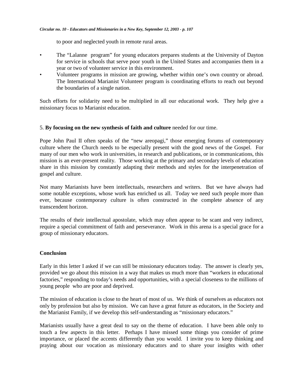to poor and neglected youth in remote rural areas.

- The "Lalanne program" for young educators prepares students at the University of Dayton for service in schools that serve poor youth in the United States and accompanies them in a year or two of volunteer service in this environment.
- Volunteer programs in mission are growing, whether within one's own country or abroad. The International Marianist Volunteer program is coordinating efforts to reach out beyond the boundaries of a single nation.

Such efforts for solidarity need to be multiplied in all our educational work. They help give a missionary focus to Marianist education.

#### 5. **By focusing on the new synthesis of faith and culture** needed for our time.

Pope John Paul II often speaks of the "new areopagi," those emerging forums of contemporary culture where the Church needs to be especially present with the good news of the Gospel. For many of our men who work in universities, in research and publications, or in communications, this mission is an ever-present reality. Those working at the primary and secondary levels of education share in this mission by constantly adapting their methods and styles for the interpenetration of gospel and culture.

Not many Marianists have been intellectuals, researchers and writers. But we have always had some notable exceptions, whose work has enriched us all. Today we need such people more than ever, because contemporary culture is often constructed in the complete absence of any transcendent horizon.

The results of their intellectual apostolate, which may often appear to be scant and very indirect, require a special commitment of faith and perseverance. Work in this arena is a special grace for a group of missionary educators.

#### **Conclusion**

Early in this letter I asked if we can still be missionary educators today. The answer is clearly yes, provided we go about this mission in a way that makes us much more than "workers in educational factories," responding to today's needs and opportunities, with a special closeness to the millions of young people who are poor and deprived.

The mission of education is close to the heart of most of us. We think of ourselves as educators not only by profession but also by mission. We can have a great future as educators, in the Society and the Marianist Family, if we develop this self-understanding as "missionary educators."

Marianists usually have a great deal to say on the theme of education. I have been able only to touch a few aspects in this letter. Perhaps I have missed some things you consider of prime importance, or placed the accents differently than you would. I invite you to keep thinking and praying about our vocation as missionary educators and to share your insights with other